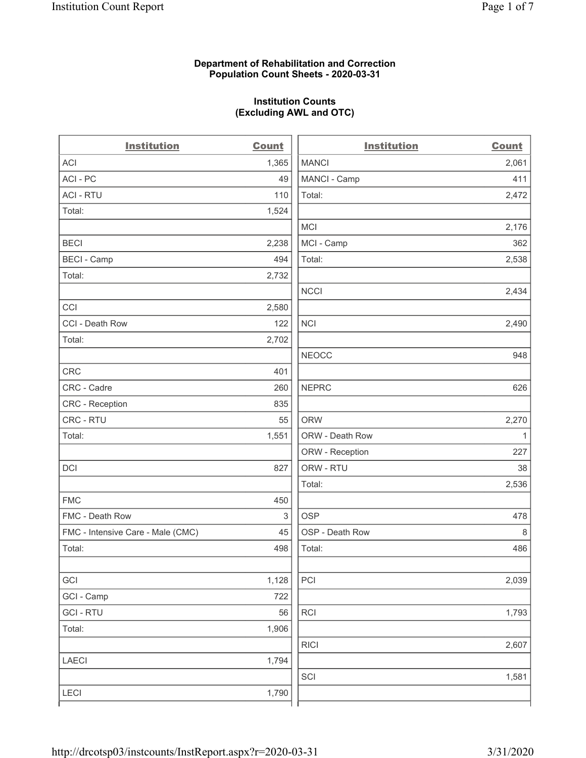## **Department of Rehabilitation and Correction Population Count Sheets - 2020-03-31**

# **Institution Counts (Excluding AWL and OTC)**

 $\overline{a}$ .

| <b>Institution</b>                | Count      | <b>Institution</b> | <b>Count</b> |
|-----------------------------------|------------|--------------------|--------------|
| <b>ACI</b>                        | 1,365      | <b>MANCI</b>       | 2,061        |
| ACI-PC                            | 49         | MANCI - Camp       | 411          |
| <b>ACI - RTU</b>                  | 110        | Total:             | 2,472        |
| Total:                            | 1,524      |                    |              |
|                                   |            | <b>MCI</b>         | 2,176        |
| <b>BECI</b>                       | 2,238      | MCI - Camp         | 362          |
| <b>BECI - Camp</b>                | 494        | Total:             | 2,538        |
| Total:                            | 2,732      |                    |              |
|                                   |            | <b>NCCI</b>        | 2,434        |
| CCI                               | 2,580      |                    |              |
| CCI - Death Row                   | 122        | <b>NCI</b>         | 2,490        |
| Total:                            | 2,702      |                    |              |
|                                   |            | <b>NEOCC</b>       | 948          |
| <b>CRC</b>                        | 401        |                    |              |
| CRC - Cadre                       | 260        | <b>NEPRC</b>       | 626          |
| CRC - Reception                   | 835        |                    |              |
| CRC - RTU                         | 55         | <b>ORW</b>         | 2,270        |
| Total:                            | 1,551      | ORW - Death Row    | 1            |
|                                   |            | ORW - Reception    | 227          |
| DCI                               | 827        | ORW - RTU          | 38           |
|                                   |            | Total:             | 2,536        |
| <b>FMC</b>                        | 450        |                    |              |
| FMC - Death Row                   | $\sqrt{3}$ | <b>OSP</b>         | 478          |
| FMC - Intensive Care - Male (CMC) | 45         | OSP - Death Row    | 8            |
| Total:                            | 498        | Total:             | 486          |
|                                   |            |                    |              |
| GCI                               | 1,128      | PCI                | 2,039        |
| GCI - Camp                        | 722        |                    |              |
| <b>GCI-RTU</b>                    | 56         | RCI                | 1,793        |
| Total:                            | 1,906      |                    |              |
|                                   |            | <b>RICI</b>        | 2,607        |
| LAECI                             | 1,794      |                    |              |
|                                   |            | SCI                | 1,581        |
| LECI                              | 1,790      |                    |              |
|                                   |            |                    |              |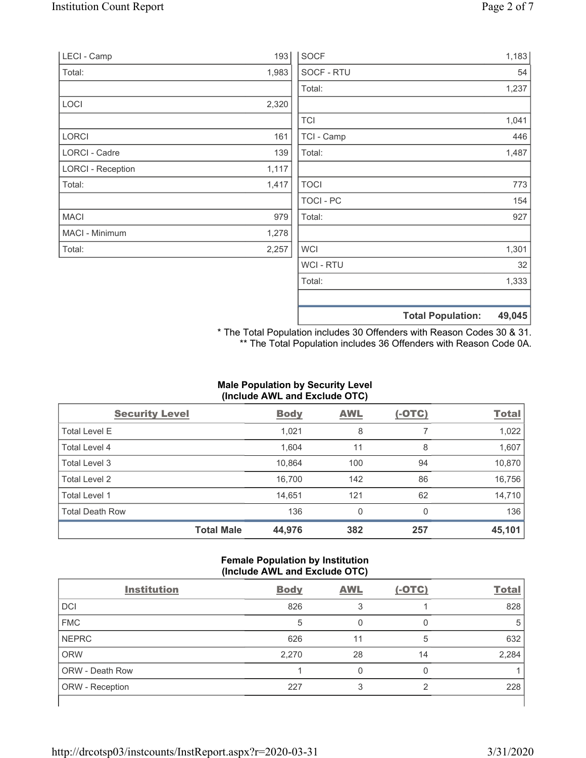| LECI - Camp              | 193   | <b>SOCF</b>      |                          | 1,183  |
|--------------------------|-------|------------------|--------------------------|--------|
| Total:                   | 1,983 | SOCF - RTU       |                          | 54     |
|                          |       | Total:           |                          | 1,237  |
| LOCI                     | 2,320 |                  |                          |        |
|                          |       | <b>TCI</b>       |                          | 1,041  |
| LORCI                    | 161   | TCI - Camp       |                          | 446    |
| LORCI - Cadre            | 139   | Total:           |                          | 1,487  |
| <b>LORCI - Reception</b> | 1,117 |                  |                          |        |
| Total:                   | 1,417 | <b>TOCI</b>      |                          | 773    |
|                          |       | <b>TOCI - PC</b> |                          | 154    |
| <b>MACI</b>              | 979   | Total:           |                          | 927    |
| MACI - Minimum           | 1,278 |                  |                          |        |
| Total:                   | 2,257 | <b>WCI</b>       |                          | 1,301  |
|                          |       | WCI - RTU        |                          | 32     |
|                          |       | Total:           |                          | 1,333  |
|                          |       |                  | <b>Total Population:</b> | 49,045 |

\* The Total Population includes 30 Offenders with Reason Codes 30 & 31. \*\* The Total Population includes 36 Offenders with Reason Code 0A.

# **Male Population by Security Level (Include AWL and Exclude OTC)**

| <b>Security Level</b>  |                   | <b>Body</b> | <b>AWL</b> | $(-OTC)$ | <b>Total</b> |
|------------------------|-------------------|-------------|------------|----------|--------------|
| <b>Total Level E</b>   |                   | 1,021       | 8          |          | 1,022        |
| Total Level 4          |                   | 1,604       | 11         | 8        | 1,607        |
| Total Level 3          |                   | 10,864      | 100        | 94       | 10,870       |
| Total Level 2          |                   | 16,700      | 142        | 86       | 16,756       |
| Total Level 1          |                   | 14,651      | 121        | 62       | 14,710       |
| <b>Total Death Row</b> |                   | 136         | 0          | $\Omega$ | 136          |
|                        | <b>Total Male</b> | 44,976      | 382        | 257      | 45,101       |

## **Female Population by Institution (Include AWL and Exclude OTC)**

| <b>Institution</b>     | <b>Body</b> | <b>AWL</b> | $(-OTC)$ | <b>Total</b> |
|------------------------|-------------|------------|----------|--------------|
| <b>DCI</b>             | 826         |            |          | 828          |
| <b>FMC</b>             | 5           |            |          | 5            |
| <b>NEPRC</b>           | 626         | 11         | 5        | 632          |
| <b>ORW</b>             | 2,270       | 28         | 14       | 2,284        |
| <b>ORW - Death Row</b> |             |            |          |              |
| ORW - Reception        | 227         |            | ⌒        | 228          |
|                        |             |            |          |              |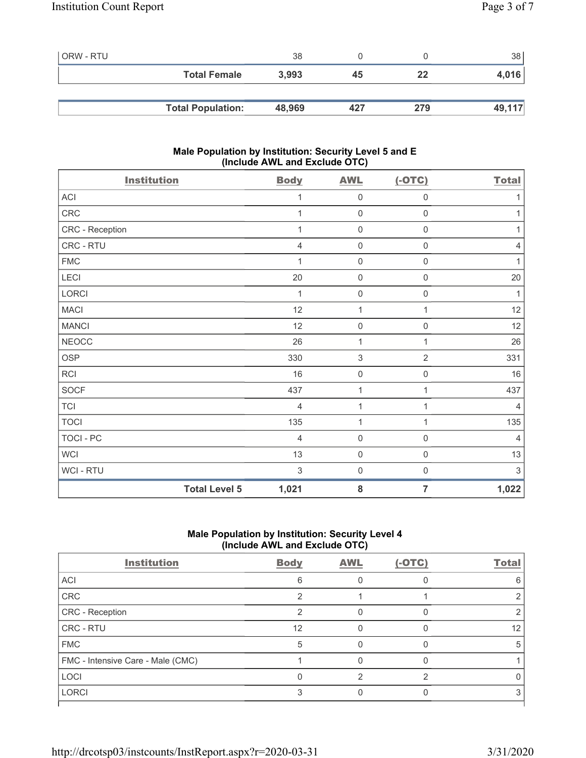| l ORW - RTU |                          | 38     |     |     | 38     |
|-------------|--------------------------|--------|-----|-----|--------|
|             | <b>Total Female</b>      | 3,993  | 45  | 22  | 4,016  |
|             |                          |        |     |     |        |
|             | <b>Total Population:</b> | 48,969 | 427 | 279 | 49,117 |

## **Male Population by Institution: Security Level 5 and E (Include AWL and Exclude OTC)**

| <b>Institution</b>   | <b>Body</b>    | <b>AWL</b>   | $(-OTC)$            | <b>Total</b>   |
|----------------------|----------------|--------------|---------------------|----------------|
| ACI                  | 1              | $\mathbf 0$  | $\boldsymbol{0}$    | 1              |
| CRC                  | 1              | $\mathbf 0$  | $\mathsf{O}\xspace$ | 1              |
| CRC - Reception      | 1              | $\mathbf 0$  | $\mathsf{O}\xspace$ | 1              |
| CRC - RTU            | 4              | $\mathbf 0$  | $\mathbf 0$         | $\overline{4}$ |
| ${\sf FMC}$          | 1              | $\mathbf 0$  | $\mathbf 0$         | 1              |
| LECI                 | 20             | $\mathbf 0$  | $\boldsymbol{0}$    | $20\,$         |
| LORCI                | 1              | $\mathbf 0$  | $\mathsf{O}\xspace$ | 1              |
| <b>MACI</b>          | 12             | 1            | 1                   | 12             |
| <b>MANCI</b>         | 12             | $\mathbf 0$  | $\mathsf 0$         | 12             |
| <b>NEOCC</b>         | 26             | 1            | 1                   | 26             |
| <b>OSP</b>           | 330            | 3            | $\overline{2}$      | 331            |
| RCI                  | 16             | $\mathbf 0$  | $\mathsf{O}\xspace$ | 16             |
| <b>SOCF</b>          | 437            | 1            | 1                   | 437            |
| <b>TCI</b>           | $\overline{4}$ | $\mathbf{1}$ | 1                   | $\overline{4}$ |
| <b>TOCI</b>          | 135            | $\mathbf{1}$ | 1                   | 135            |
| TOCI - PC            | 4              | $\mathbf 0$  | $\mathbf 0$         | 4              |
| <b>WCI</b>           | 13             | $\mathbf 0$  | $\mathsf{O}\xspace$ | 13             |
| WCI - RTU            | 3              | $\mathbf 0$  | 0                   | $\sqrt{3}$     |
| <b>Total Level 5</b> | 1,021          | 8            | $\overline{7}$      | 1,022          |

# **Male Population by Institution: Security Level 4 (Include AWL and Exclude OTC)**

| <b>Institution</b>                | <b>Body</b> | <b>AWL</b> | $(-OTC)$ | <b>Total</b> |
|-----------------------------------|-------------|------------|----------|--------------|
| ACI                               | 6           |            |          |              |
| CRC                               |             |            |          |              |
| CRC - Reception                   | ◠           |            |          |              |
| CRC - RTU                         | 12          |            |          | 12           |
| <b>FMC</b>                        | 5           |            |          | ٠h           |
| FMC - Intensive Care - Male (CMC) |             |            |          |              |
| <b>LOCI</b>                       |             |            | ⌒        |              |
| <b>LORCI</b>                      |             |            |          |              |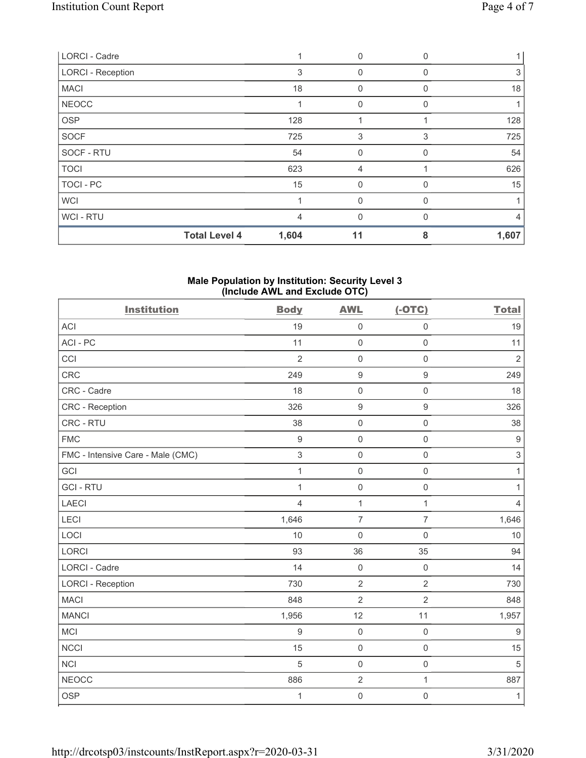| <b>LORCI - Cadre</b>     |                | $\Omega$     |          |       |
|--------------------------|----------------|--------------|----------|-------|
| <b>LORCI - Reception</b> | 3              | $\mathbf 0$  | 0        | 3     |
| <b>MACI</b>              | 18             | $\mathbf 0$  |          | 18    |
| <b>NEOCC</b>             |                | $\mathbf{0}$ |          |       |
| <b>OSP</b>               | 128            |              |          | 128   |
| <b>SOCF</b>              | 725            | 3            | 3        | 725   |
| SOCF - RTU               | 54             | $\mathbf 0$  | O        | 54    |
| <b>TOCI</b>              | 623            | 4            |          | 626   |
| TOCI - PC                | 15             | $\mathbf{0}$ | 0        | 15    |
| <b>WCI</b>               |                | $\mathbf{0}$ | $\Omega$ |       |
| WCI-RTU                  | $\overline{4}$ | $\mathbf{0}$ | $\Omega$ | 4     |
| <b>Total Level 4</b>     | 1,604          | 11           | 8        | 1,607 |

#### **Male Population by Institution: Security Level 3 (Include AWL and Exclude OTC)**

| <b>Institution</b>                | <b>Body</b>      | <b>AWL</b>       | $(-OTC)$            | <b>Total</b>     |
|-----------------------------------|------------------|------------------|---------------------|------------------|
| <b>ACI</b>                        | 19               | $\mathsf 0$      | $\mathsf{O}\xspace$ | 19               |
| ACI-PC                            | 11               | $\mathsf 0$      | $\mathsf 0$         | 11               |
| CCI                               | $\overline{2}$   | $\mathbf 0$      | $\mathsf 0$         | $\overline{2}$   |
| CRC                               | 249              | $\boldsymbol{9}$ | 9                   | 249              |
| CRC - Cadre                       | 18               | $\mathbf 0$      | $\mathsf{O}\xspace$ | 18               |
| CRC - Reception                   | 326              | $\boldsymbol{9}$ | $\mathsf g$         | 326              |
| CRC - RTU                         | 38               | $\mathbf 0$      | $\mathbf 0$         | 38               |
| <b>FMC</b>                        | $9\,$            | $\mathsf 0$      | $\mathsf{O}\xspace$ | $\boldsymbol{9}$ |
| FMC - Intensive Care - Male (CMC) | $\mathfrak{S}$   | $\mathbf 0$      | $\mathsf{O}\xspace$ | $\,$ 3 $\,$      |
| GCI                               | $\mathbf{1}$     | $\mathsf 0$      | $\mathsf{O}\xspace$ | $\mathbf{1}$     |
| <b>GCI-RTU</b>                    | $\mathbf{1}$     | $\mathsf 0$      | $\mathsf{O}\xspace$ | $\mathbf{1}$     |
| <b>LAECI</b>                      | $\overline{4}$   | $\mathbf{1}$     | $\mathbf{1}$        | $\overline{4}$   |
| LECI                              | 1,646            | $\overline{7}$   | $\overline{7}$      | 1,646            |
| LOCI                              | 10               | $\mathsf 0$      | $\mathsf{O}\xspace$ | $10$             |
| <b>LORCI</b>                      | 93               | 36               | 35                  | 94               |
| <b>LORCI - Cadre</b>              | 14               | $\mathsf 0$      | $\mathsf{O}\xspace$ | 14               |
| <b>LORCI - Reception</b>          | 730              | $\overline{2}$   | $\overline{2}$      | 730              |
| <b>MACI</b>                       | 848              | $\overline{2}$   | $\overline{2}$      | 848              |
| <b>MANCI</b>                      | 1,956            | 12               | 11                  | 1,957            |
| MCI                               | $\boldsymbol{9}$ | $\mathsf 0$      | $\mathsf{O}\xspace$ | $9\,$            |
| <b>NCCI</b>                       | 15               | $\mathsf 0$      | $\mathsf{O}\xspace$ | 15               |
| NCI                               | 5                | $\mathsf 0$      | $\mathsf{O}\xspace$ | $\sqrt{5}$       |
| <b>NEOCC</b>                      | 886              | $\sqrt{2}$       | $\mathbf{1}$        | 887              |
| <b>OSP</b>                        | 1                | $\mathbf 0$      | $\mathsf 0$         | $\mathbf{1}$     |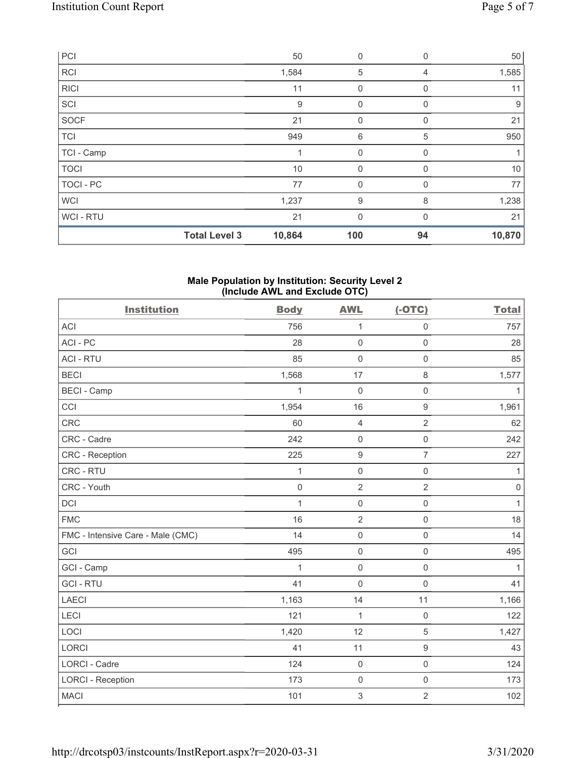|                  | <b>Total Level 3</b> | 10,864 | 100          | 94             | 10,870 |
|------------------|----------------------|--------|--------------|----------------|--------|
| <b>WCI-RTU</b>   |                      | 21     | $\mathbf{0}$ | $\Omega$       | 21     |
| <b>WCI</b>       |                      | 1,237  | 9            | 8              | 1,238  |
| <b>TOCI - PC</b> |                      | 77     | $\mathbf 0$  | 0              | 77     |
| <b>TOCI</b>      |                      | 10     | $\mathbf{0}$ | 0              | $10$   |
| TCI - Camp       |                      |        | 0            | 0              |        |
| <b>TCI</b>       |                      | 949    | 6            | 5              | 950    |
| <b>SOCF</b>      |                      | 21     | $\mathbf 0$  | $\Omega$       | 21     |
| SCI              |                      | 9      | $\mathbf 0$  | 0              | 9      |
| <b>RICI</b>      |                      | 11     | $\mathbf 0$  | 0              | 11     |
| <b>RCI</b>       |                      | 1,584  | 5            | $\overline{4}$ | 1,585  |
| PCI              |                      | 50     | $\mathbf 0$  | $\mathbf 0$    | 50     |

### **Male Population by Institution: Security Level 2 (Include AWL and Exclude OTC)**

| <b>Institution</b>                | <b>Body</b>  | <b>AWL</b>       | $(-OTC)$            | <b>Total</b> |
|-----------------------------------|--------------|------------------|---------------------|--------------|
| <b>ACI</b>                        | 756          | 1                | $\mathsf{O}\xspace$ | 757          |
| ACI-PC                            | 28           | $\mathbf 0$      | $\mathsf{O}\xspace$ | 28           |
| <b>ACI - RTU</b>                  | 85           | $\mathbf 0$      | $\mathsf 0$         | 85           |
| <b>BECI</b>                       | 1,568        | 17               | 8                   | 1,577        |
| <b>BECI - Camp</b>                | 1            | $\boldsymbol{0}$ | $\mathsf 0$         | 1            |
| CCI                               | 1,954        | 16               | $\boldsymbol{9}$    | 1,961        |
| <b>CRC</b>                        | 60           | $\overline{4}$   | $\overline{2}$      | 62           |
| CRC - Cadre                       | 242          | $\mathbf 0$      | $\mathsf{O}\xspace$ | 242          |
| CRC - Reception                   | 225          | $\boldsymbol{9}$ | $\overline{7}$      | 227          |
| CRC - RTU                         | 1            | $\mathbf 0$      | $\mathbf 0$         | $\mathbf{1}$ |
| CRC - Youth                       | $\mathbf 0$  | $\overline{2}$   | $\overline{2}$      | $\mathbf 0$  |
| DCI                               | $\mathbf{1}$ | $\mathbf 0$      | $\mathsf 0$         | $\mathbf{1}$ |
| <b>FMC</b>                        | 16           | $\overline{2}$   | $\mathbf 0$         | 18           |
| FMC - Intensive Care - Male (CMC) | 14           | $\mathbf 0$      | $\mathbf 0$         | 14           |
| GCI                               | 495          | $\mathbf 0$      | $\mathsf{O}\xspace$ | 495          |
| GCI - Camp                        | 1            | $\mathbf 0$      | $\mathsf{O}\xspace$ | $\mathbf{1}$ |
| <b>GCI-RTU</b>                    | 41           | $\mathbf 0$      | $\mathbf 0$         | 41           |
| <b>LAECI</b>                      | 1,163        | 14               | 11                  | 1,166        |
| <b>LECI</b>                       | 121          | $\mathbf{1}$     | $\mathsf{O}\xspace$ | 122          |
| LOCI                              | 1,420        | 12               | 5                   | 1,427        |
| <b>LORCI</b>                      | 41           | 11               | $\boldsymbol{9}$    | 43           |
| <b>LORCI - Cadre</b>              | 124          | $\mathbf 0$      | $\mathsf{O}\xspace$ | 124          |
| <b>LORCI - Reception</b>          | 173          | $\mathbf 0$      | $\mathsf{O}\xspace$ | 173          |
| <b>MACI</b>                       | 101          | $\mathbf{3}$     | $\overline{2}$      | 102          |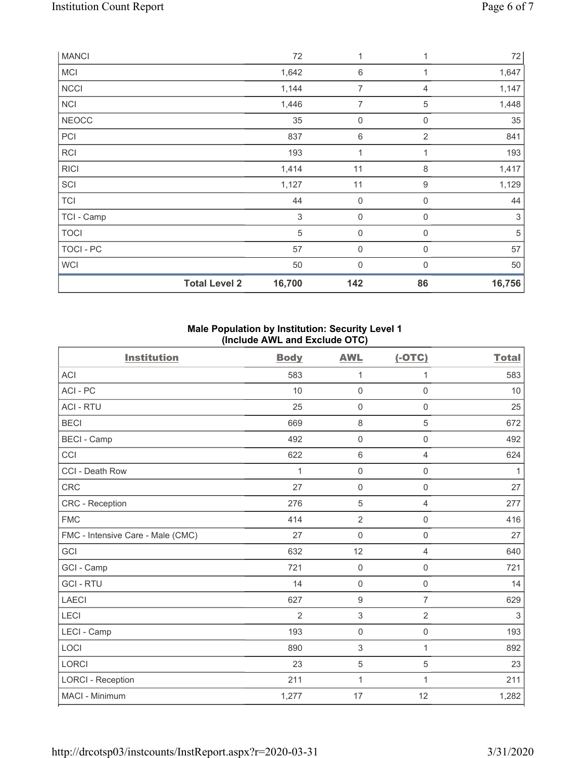| <b>MANCI</b> |                      | 72          | 1                |                  | 72         |
|--------------|----------------------|-------------|------------------|------------------|------------|
| <b>MCI</b>   |                      | 1,642       | 6                | 1                | 1,647      |
| <b>NCCI</b>  |                      | 1,144       | 7                | 4                | 1,147      |
| <b>NCI</b>   |                      | 1,446       | $\overline{7}$   | 5                | 1,448      |
| <b>NEOCC</b> |                      | 35          | 0                | $\mathbf 0$      | 35         |
| PCI          |                      | 837         | 6                | $\overline{2}$   | 841        |
| <b>RCI</b>   |                      | 193         | 1                |                  | 193        |
| <b>RICI</b>  |                      | 1,414       | 11               | 8                | 1,417      |
| SCI          |                      | 1,127       | 11               | $\boldsymbol{9}$ | 1,129      |
| <b>TCI</b>   |                      | 44          | $\boldsymbol{0}$ | $\mathbf 0$      | 44         |
| TCI - Camp   |                      | $\,$ 3 $\,$ | $\boldsymbol{0}$ | 0                | 3          |
| <b>TOCI</b>  |                      | $\sqrt{5}$  | $\boldsymbol{0}$ | $\mathbf 0$      | $\sqrt{5}$ |
| TOCI - PC    |                      | 57          | $\boldsymbol{0}$ | $\mathbf 0$      | 57         |
| WCI          |                      | 50          | $\mathbf 0$      | $\Omega$         | 50         |
|              | <b>Total Level 2</b> | 16,700      | 142              | 86               | 16,756     |

## **Male Population by Institution: Security Level 1 (Include AWL and Exclude OTC)**

| <b>Institution</b>                | <b>Body</b>    | <b>AWL</b>          | $(-OTC)$            | <b>Total</b> |
|-----------------------------------|----------------|---------------------|---------------------|--------------|
| <b>ACI</b>                        | 583            | 1                   | 1                   | 583          |
| ACI-PC                            | 10             | $\mathbf 0$         | $\mathbf 0$         | 10           |
| <b>ACI - RTU</b>                  | 25             | $\mathbf 0$         | $\mathbf 0$         | 25           |
| <b>BECI</b>                       | 669            | $\,8\,$             | 5                   | 672          |
| <b>BECI - Camp</b>                | 492            | $\mathsf{O}\xspace$ | $\mathsf{O}\xspace$ | 492          |
| CCI                               | 622            | 6                   | $\overline{4}$      | 624          |
| CCI - Death Row                   | 1              | $\mathbf 0$         | $\mathsf 0$         | 1            |
| <b>CRC</b>                        | 27             | $\mathsf{O}\xspace$ | $\mathsf{O}\xspace$ | 27           |
| CRC - Reception                   | 276            | 5                   | $\overline{4}$      | 277          |
| <b>FMC</b>                        | 414            | $\overline{2}$      | $\mathsf 0$         | 416          |
| FMC - Intensive Care - Male (CMC) | 27             | $\mathbf 0$         | $\mathsf{O}\xspace$ | 27           |
| GCI                               | 632            | 12                  | $\overline{4}$      | 640          |
| GCI - Camp                        | 721            | $\mathbf 0$         | $\mathbf 0$         | 721          |
| <b>GCI-RTU</b>                    | 14             | $\mathsf{O}\xspace$ | $\mathsf 0$         | 14           |
| <b>LAECI</b>                      | 627            | $\boldsymbol{9}$    | $\overline{7}$      | 629          |
| LECI                              | $\overline{2}$ | $\sqrt{3}$          | $\overline{2}$      | 3            |
| LECI - Camp                       | 193            | $\mathsf{O}\xspace$ | $\mathsf 0$         | 193          |
| LOCI                              | 890            | $\sqrt{3}$          | 1                   | 892          |
| <b>LORCI</b>                      | 23             | 5                   | 5                   | 23           |
| <b>LORCI - Reception</b>          | 211            | 1                   | $\mathbf{1}$        | 211          |
| MACI - Minimum                    | 1,277          | 17                  | 12                  | 1,282        |